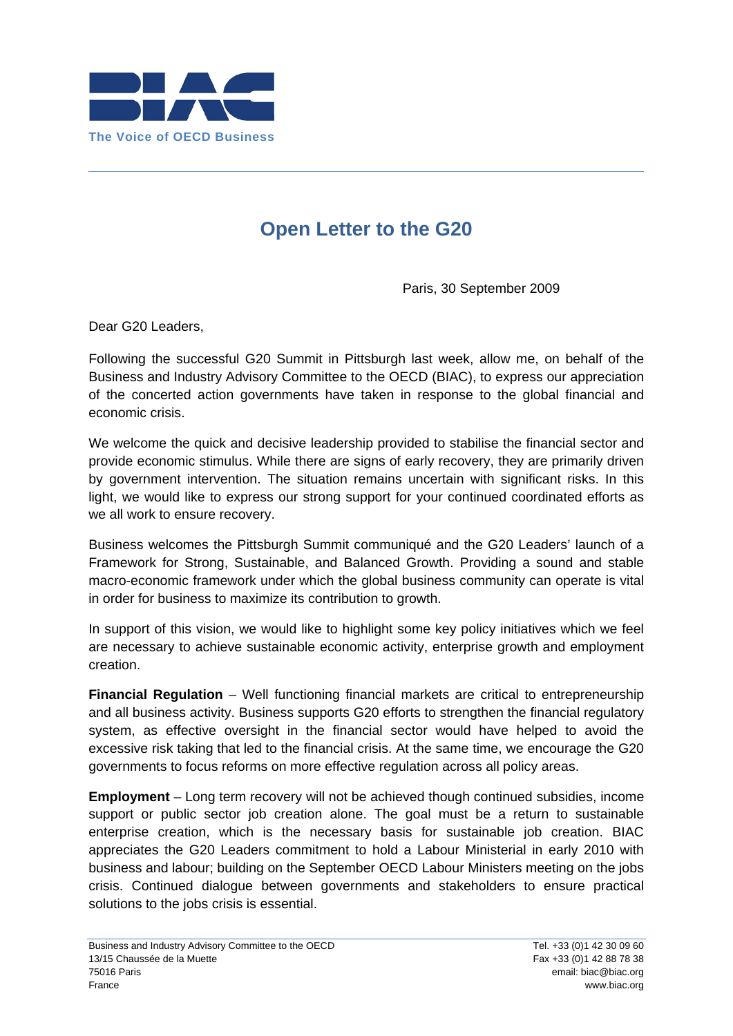

## **Open Letter to the G20**

Paris, 30 September 2009

Dear G20 Leaders,

Following the successful G20 Summit in Pittsburgh last week, allow me, on behalf of the Business and Industry Advisory Committee to the OECD (BIAC), to express our appreciation of the concerted action governments have taken in response to the global financial and economic crisis.

We welcome the quick and decisive leadership provided to stabilise the financial sector and provide economic stimulus. While there are signs of early recovery, they are primarily driven by government intervention. The situation remains uncertain with significant risks. In this light, we would like to express our strong support for your continued coordinated efforts as we all work to ensure recovery.

Business welcomes the Pittsburgh Summit communiqué and the G20 Leaders' launch of a Framework for Strong, Sustainable, and Balanced Growth. Providing a sound and stable macro-economic framework under which the global business community can operate is vital in order for business to maximize its contribution to growth.

In support of this vision, we would like to highlight some key policy initiatives which we feel are necessary to achieve sustainable economic activity, enterprise growth and employment creation.

**Financial Regulation** – Well functioning financial markets are critical to entrepreneurship and all business activity. Business supports G20 efforts to strengthen the financial regulatory system, as effective oversight in the financial sector would have helped to avoid the excessive risk taking that led to the financial crisis. At the same time, we encourage the G20 governments to focus reforms on more effective regulation across all policy areas.

**Employment** – Long term recovery will not be achieved though continued subsidies, income support or public sector job creation alone. The goal must be a return to sustainable enterprise creation, which is the necessary basis for sustainable job creation. BIAC appreciates the G20 Leaders commitment to hold a Labour Ministerial in early 2010 with business and labour; building on the September OECD Labour Ministers meeting on the jobs crisis. Continued dialogue between governments and stakeholders to ensure practical solutions to the jobs crisis is essential.